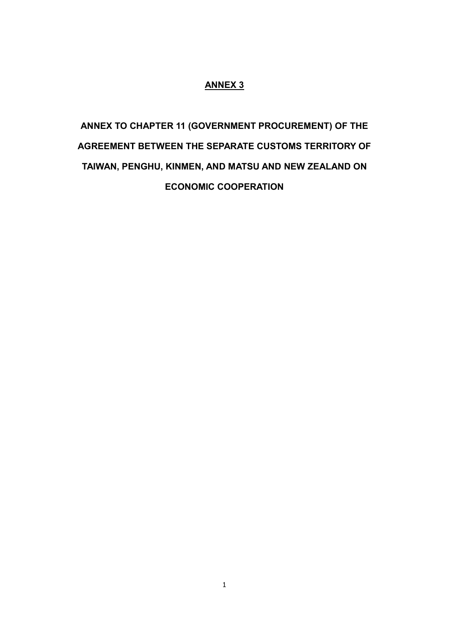### **ANNEX 3**

# **ANNEX TO CHAPTER 11 (GOVERNMENT PROCUREMENT) OF THE AGREEMENT BETWEEN THE SEPARATE CUSTOMS TERRITORY OF TAIWAN, PENGHU, KINMEN, AND MATSU AND NEW ZEALAND ON ECONOMIC COOPERATION**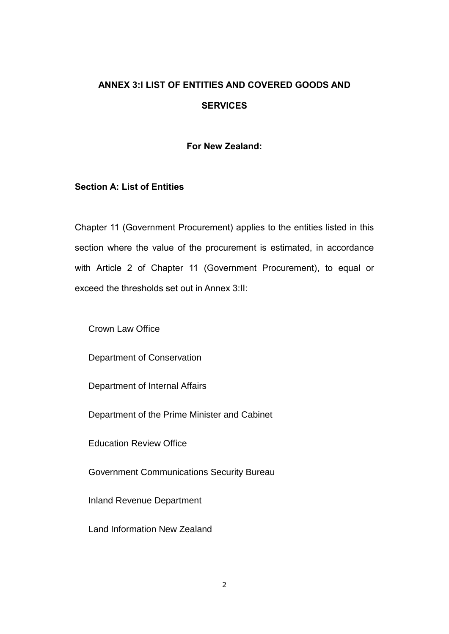# **ANNEX 3:I LIST OF ENTITIES AND COVERED GOODS AND SERVICES**

### **For New Zealand:**

### **Section A: List of Entities**

Chapter 11 (Government Procurement) applies to the entities listed in this section where the value of the procurement is estimated, in accordance with Article 2 of Chapter 11 (Government Procurement), to equal or exceed the thresholds set out in Annex 3:II:

Crown Law Office

Department of Conservation

Department of Internal Affairs

Department of the Prime Minister and Cabinet

Education Review Office

Government Communications Security Bureau

Inland Revenue Department

Land Information New Zealand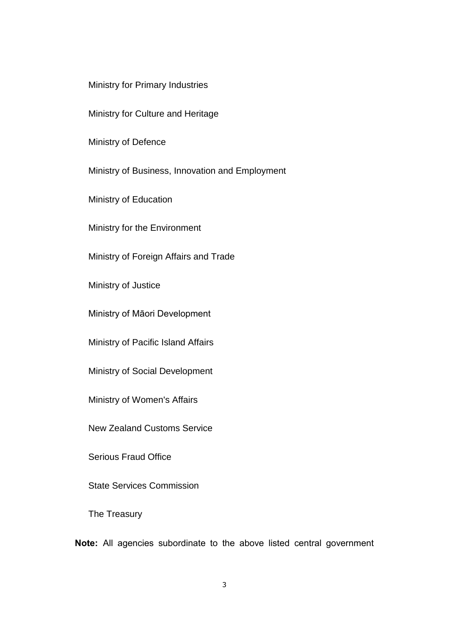Ministry for Primary Industries

Ministry for Culture and Heritage

Ministry of Defence

Ministry of Business, Innovation and Employment

Ministry of Education

Ministry for the Environment

Ministry of Foreign Affairs and Trade

Ministry of Justice

Ministry of Māori Development

Ministry of Pacific Island Affairs

Ministry of Social Development

Ministry of Women's Affairs

New Zealand Customs Service

Serious Fraud Office

State Services Commission

The Treasury

**Note:** All agencies subordinate to the above listed central government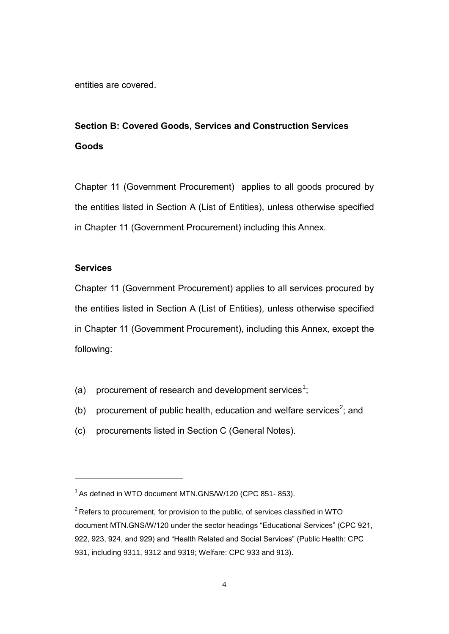entities are covered.

# **Section B: Covered Goods, Services and Construction Services Goods**

Chapter 11 (Government Procurement) applies to all goods procured by the entities listed in Section A (List of Entities), unless otherwise specified in Chapter 11 (Government Procurement) including this Annex.

#### **Services**

 $\overline{a}$ 

Chapter 11 (Government Procurement) applies to all services procured by the entities listed in Section A (List of Entities), unless otherwise specified in Chapter 11 (Government Procurement), including this Annex, except the following:

- (a) procurement of research and development services<sup>1</sup>;
- (b) procurement of public health, education and welfare services<sup>2</sup>; and
- (c) procurements listed in Section C (General Notes).

<sup>&</sup>lt;sup>1</sup> As defined in WTO document MTN.GNS/W/120 (CPC 851- 853).

 $2$  Refers to procurement, for provision to the public, of services classified in WTO document MTN.GNS/W/120 under the sector headings "Educational Services" (CPC 921, 922, 923, 924, and 929) and "Health Related and Social Services" (Public Health: CPC 931, including 9311, 9312 and 9319; Welfare: CPC 933 and 913).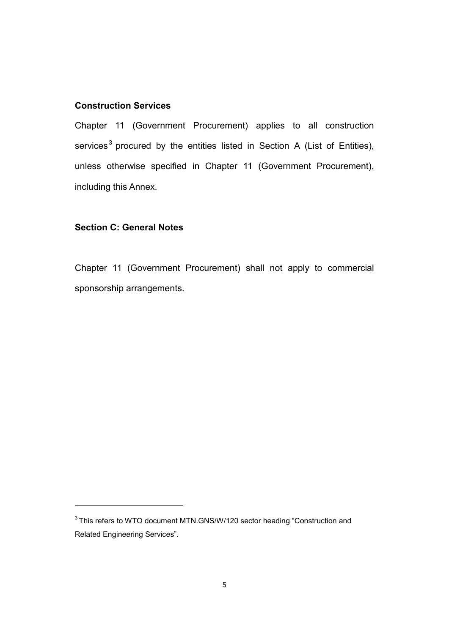### **Construction Services**

Chapter 11 (Government Procurement) applies to all construction services<sup>3</sup> procured by the entities listed in Section A (List of Entities), unless otherwise specified in Chapter 11 (Government Procurement), including this Annex.

### **Section C: General Notes**

 $\overline{a}$ 

Chapter 11 (Government Procurement) shall not apply to commercial sponsorship arrangements.

 $3$ This refers to WTO document MTN.GNS/W/120 sector heading "Construction and Related Engineering Services".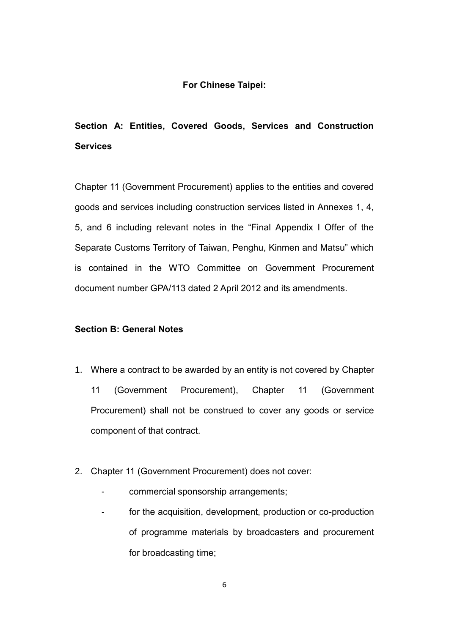### **For Chinese Taipei:**

# **Section A: Entities, Covered Goods, Services and Construction Services**

Chapter 11 (Government Procurement) applies to the entities and covered goods and services including construction services listed in Annexes 1, 4, 5, and 6 including relevant notes in the "Final Appendix I Offer of the Separate Customs Territory of Taiwan, Penghu, Kinmen and Matsu" which is contained in the WTO Committee on Government Procurement document number GPA/113 dated 2 April 2012 and its amendments.

### **Section B: General Notes**

- 1. Where a contract to be awarded by an entity is not covered by Chapter 11 (Government Procurement), Chapter 11 (Government Procurement) shall not be construed to cover any goods or service component of that contract.
- 2. Chapter 11 (Government Procurement) does not cover:
	- commercial sponsorship arrangements;
	- for the acquisition, development, production or co-production of programme materials by broadcasters and procurement for broadcasting time;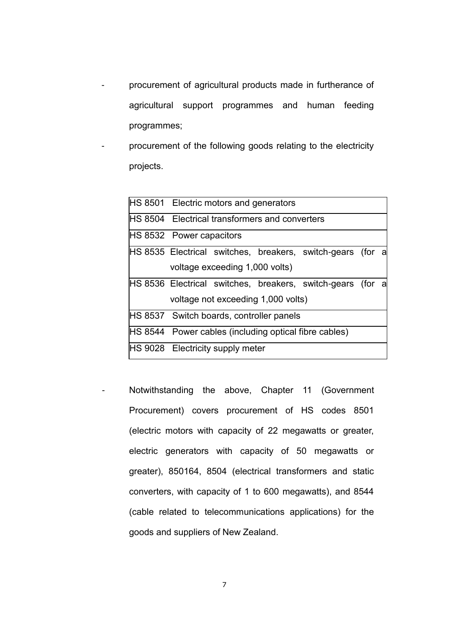- procurement of agricultural products made in furtherance of agricultural support programmes and human feeding programmes;
- procurement of the following goods relating to the electricity projects.

|  | <b>HS 8501</b> Electric motors and generators                 |  |  |
|--|---------------------------------------------------------------|--|--|
|  | <b>IHS 8504</b> Electrical transformers and converters        |  |  |
|  | <b>HS 8532 Power capacitors</b>                               |  |  |
|  | HS 8535 Electrical switches, breakers, switch-gears (for a    |  |  |
|  | voltage exceeding 1,000 volts)                                |  |  |
|  | HS 8536 Electrical switches, breakers, switch-gears (for a    |  |  |
|  | voltage not exceeding 1,000 volts)                            |  |  |
|  | <b>HS 8537</b> Switch boards, controller panels               |  |  |
|  | <b>IHS 8544</b> Power cables (including optical fibre cables) |  |  |
|  | <b>HS 9028</b> Electricity supply meter                       |  |  |
|  |                                                               |  |  |

- Notwithstanding the above, Chapter 11 (Government Procurement) covers procurement of HS codes 8501 (electric motors with capacity of 22 megawatts or greater, electric generators with capacity of 50 megawatts or greater), 850164, 8504 (electrical transformers and static converters, with capacity of 1 to 600 megawatts), and 8544 (cable related to telecommunications applications) for the goods and suppliers of New Zealand.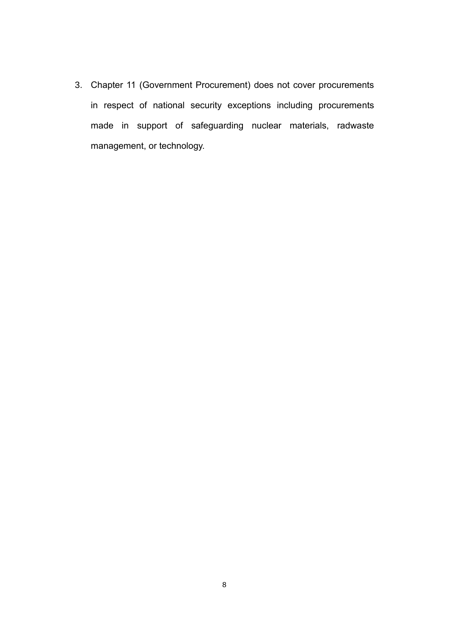3. Chapter 11 (Government Procurement) does not cover procurements in respect of national security exceptions including procurements made in support of safeguarding nuclear materials, radwaste management, or technology.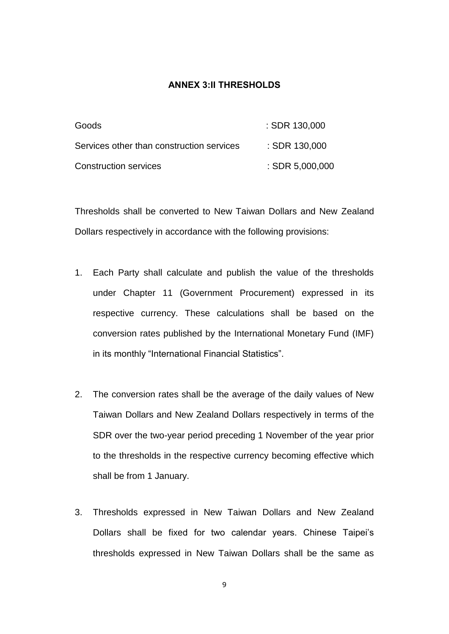#### **ANNEX 3:II THRESHOLDS**

| Goods                                     | $:$ SDR 130,000   |
|-------------------------------------------|-------------------|
| Services other than construction services | $:$ SDR 130,000   |
| <b>Construction services</b>              | $:$ SDR 5,000,000 |

Thresholds shall be converted to New Taiwan Dollars and New Zealand Dollars respectively in accordance with the following provisions:

- 1. Each Party shall calculate and publish the value of the thresholds under Chapter 11 (Government Procurement) expressed in its respective currency. These calculations shall be based on the conversion rates published by the International Monetary Fund (IMF) in its monthly "International Financial Statistics".
- 2. The conversion rates shall be the average of the daily values of New Taiwan Dollars and New Zealand Dollars respectively in terms of the SDR over the two-year period preceding 1 November of the year prior to the thresholds in the respective currency becoming effective which shall be from 1 January.
- 3. Thresholds expressed in New Taiwan Dollars and New Zealand Dollars shall be fixed for two calendar years. Chinese Taipei's thresholds expressed in New Taiwan Dollars shall be the same as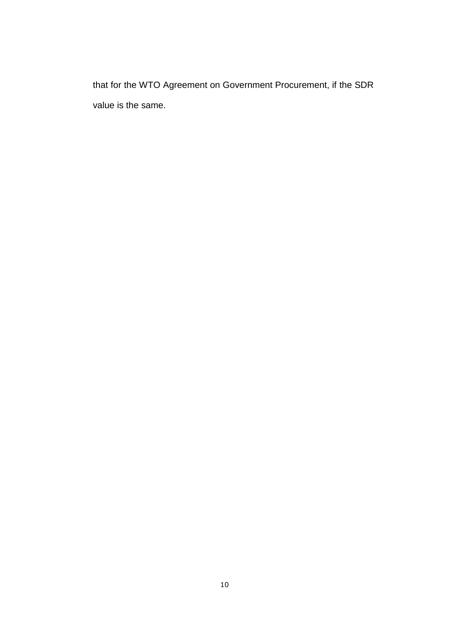that for the WTO Agreement on Government Procurement, if the SDR value is the same.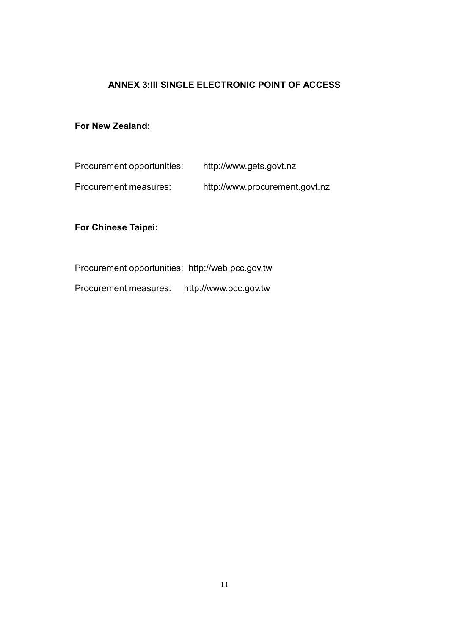### **ANNEX 3:III SINGLE ELECTRONIC POINT OF ACCESS**

### **For New Zealand:**

| Procurement opportunities: | http://www.gets.govt.nz        |
|----------------------------|--------------------------------|
| Procurement measures:      | http://www.procurement.govt.nz |

### **For Chinese Taipei:**

Procurement opportunities: [http://web.pcc.gov.tw](http://web.pcc.gov.tw/)

Procurement measures: [http://www.pcc.gov.tw](http://www.pcc.gov.tw/)